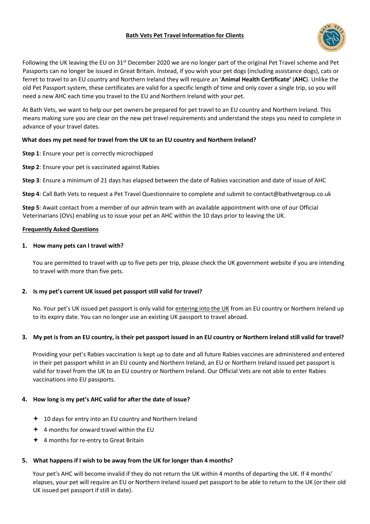# **Bath Vets Pet Travel Information for Clients**



Following the UK leaving the EU on 31st December 2020 we are no longer part of the original Pet Travel scheme and Pet Passports can no longer be issued in Great Britain. Instead, if you wish your pet dogs (including assistance dogs), cats or ferret to travel to an EU country and Northern Ireland they will require an '**Animal Health Certificate'** (**AHC**). Unlike the old Pet Passport system, these certificates are valid for a specific length of time and only cover a single trip, so you will need a new AHC each time you travel to the EU and Northern Ireland with your pet.

At Bath Vets, we want to help our pet owners be prepared for pet travel to an EU country and Northern Ireland. This means making sure you are clear on the new pet travel requirements and understand the steps you need to complete in advance of your travel dates.

## **What does my pet need for travel from the UK to an EU country and Northern Ireland?**

- **Step 1**: Ensure your pet is correctly microchipped
- **Step 2**: Ensure your pet is vaccinated against Rabies

**Step 3**: Ensure a minimum of 21 days has elapsed between the date of Rabies vaccination and date of issue of AHC

**Step 4**: Call Bath Vets to request a Pet Travel Questionnaire to complete and submit to contact@bathvetgroup.co.uk

**Step 5**: Await contact from a member of our admin team with an available appointment with one of our Official Veterinarians (OVs) enabling us to issue your pet an AHC within the 10 days prior to leaving the UK.

### **Frequently Asked Questions**

## **1. How many pets can I travel with?**

You are permitted to travel with up to five pets per trip, please check the UK government website if you are intending to travel with more than five pets.

# **2. Is my pet's current UK issued pet passport still valid for travel?**

No. Your pet's UK issued pet passport is only valid for entering into the UK from an EU country or Northern Ireland up to its expiry date. You can no longer use an existing UK passport to travel abroad.

# **3. My pet is from an EU country, is their pet passport issued in an EU country or Northern Ireland still valid for travel?**

Providing your pet's Rabies vaccination is kept up to date and all future Rabies vaccines are administered and entered in their pet passport whilst in an EU county and Northern Ireland, an EU or Northern Ireland issued pet passport is valid for travel from the UK to an EU country or Northern Ireland. Our Official Vets are not able to enter Rabies vaccinations into EU passports.

# **4. How long is my pet's AHC valid for after the date of issue?**

- $+$  10 days for entry into an EU country and Northern Ireland
- $+$  4 months for onward travel within the EU
- 4 months for re-entry to Great Britain

### **5. What happens if I wish to be away from the UK for longer than 4 months?**

Your pet's AHC will become invalid if they do not return the UK within 4 months of departing the UK. If 4 months' elapses, your pet will require an EU or Northern Ireland issued pet passport to be able to return to the UK (or their old UK issued pet passport if still in date).